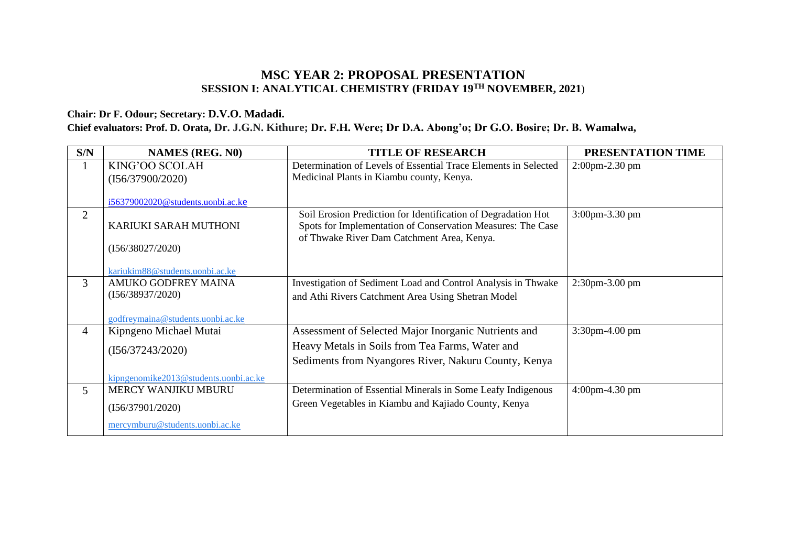## **MSC YEAR 2: PROPOSAL PRESENTATION SESSION I: ANALYTICAL CHEMISTRY (FRIDAY 19TH NOVEMBER, 2021**)

#### **Chair: Dr F. Odour; Secretary: D.V.O. Madadi.**

#### **Chief evaluators: Prof. D. Orata, Dr. J.G.N. Kithure; Dr. F.H. Were; Dr D.A. Abong'o; Dr G.O. Bosire; Dr. B. Wamalwa,**

| S/N            | <b>NAMES (REG. N0)</b>                                                              | <b>TITLE OF RESEARCH</b>                                                                                                                                                   | PRESENTATION TIME    |
|----------------|-------------------------------------------------------------------------------------|----------------------------------------------------------------------------------------------------------------------------------------------------------------------------|----------------------|
| 1              | KING'OO SCOLAH<br>(I56/37900/2020)                                                  | Determination of Levels of Essential Trace Elements in Selected<br>Medicinal Plants in Kiambu county, Kenya.                                                               | $2:00$ pm $-2.30$ pm |
|                | i56379002020@students.uonbi.ac.ke                                                   |                                                                                                                                                                            |                      |
| $\overline{2}$ | KARIUKI SARAH MUTHONI<br>(I56/38027/2020)<br>kariukim88@students.uonbi.ac.ke        | Soil Erosion Prediction for Identification of Degradation Hot<br>Spots for Implementation of Conservation Measures: The Case<br>of Thwake River Dam Catchment Area, Kenya. | 3:00pm-3.30 pm       |
| 3              | AMUKO GODFREY MAINA<br>(I56/38937/2020)<br>godfreymaina@students.uonbi.ac.ke        | Investigation of Sediment Load and Control Analysis in Thwake<br>and Athi Rivers Catchment Area Using Shetran Model                                                        | $2:30$ pm $-3.00$ pm |
| 4              | Kipngeno Michael Mutai<br>(I56/37243/2020)<br>kipngenomike2013@students.uonbi.ac.ke | Assessment of Selected Major Inorganic Nutrients and<br>Heavy Metals in Soils from Tea Farms, Water and<br>Sediments from Nyangores River, Nakuru County, Kenya            | $3:30$ pm $-4.00$ pm |
| 5              | MERCY WANJIKU MBURU<br>(I56/37901/2020)<br>mercymburu@students.uonbi.ac.ke          | Determination of Essential Minerals in Some Leafy Indigenous<br>Green Vegetables in Kiambu and Kajiado County, Kenya                                                       | $4:00$ pm $-4.30$ pm |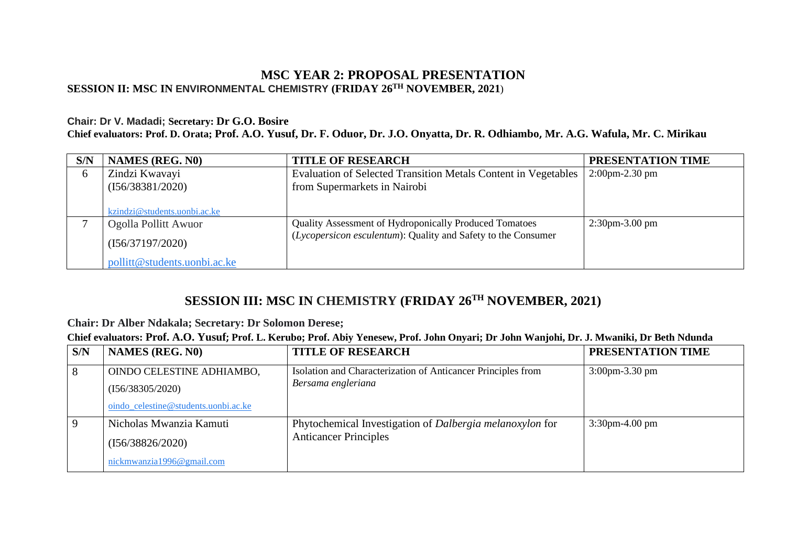## **MSC YEAR 2: PROPOSAL PRESENTATION SESSION II: MSC IN ENVIRONMENTAL CHEMISTRY (FRIDAY 26TH NOVEMBER, 2021**)

#### **Chair: Dr V. Madadi; Secretary: Dr G.O. Bosire**

**Chief evaluators: Prof. D. Orata; Prof. A.O. Yusuf, Dr. F. Oduor, Dr. J.O. Onyatta, Dr. R. Odhiambo, Mr. A.G. Wafula, Mr. C. Mirikau**

| S/N | <b>NAMES (REG. N0)</b>       | <b>TITLE OF RESEARCH</b>                                       | PRESENTATION TIME    |
|-----|------------------------------|----------------------------------------------------------------|----------------------|
| 6   | Zindzi Kwavayi               | Evaluation of Selected Transition Metals Content in Vegetables | $2:00$ pm $-2.30$ pm |
|     | (I56/38381/2020)             | from Supermarkets in Nairobi                                   |                      |
|     |                              |                                                                |                      |
|     | kzindzi@students.uonbi.ac.ke |                                                                |                      |
|     | Ogolla Pollitt Awuor         | <b>Quality Assessment of Hydroponically Produced Tomatoes</b>  | $2:30$ pm $-3.00$ pm |
|     | (I56/37197/2020)             | (Lycopersicon esculentum): Quality and Safety to the Consumer  |                      |
|     | pollitt@students.uonbi.ac.ke |                                                                |                      |

# **SESSION III: MSC IN CHEMISTRY (FRIDAY 26TH NOVEMBER, 2021)**

#### **Chair: Dr Alber Ndakala; Secretary: Dr Solomon Derese;**

#### **Chief evaluators: Prof. A.O. Yusuf; Prof. L. Kerubo; Prof. Abiy Yenesew, Prof. John Onyari; Dr John Wanjohi, Dr. J. Mwaniki, Dr Beth Ndunda**

| S/N | <b>NAMES (REG. N0)</b>               | <b>TITLE OF RESEARCH</b>                                     | PRESENTATION TIME    |
|-----|--------------------------------------|--------------------------------------------------------------|----------------------|
| 8   | OINDO CELESTINE ADHIAMBO,            | Isolation and Characterization of Anticancer Principles from | $3:00$ pm $-3.30$ pm |
|     | (I56/38305/2020)                     | Bersama engleriana                                           |                      |
|     | oindo_celestine@students.uonbi.ac.ke |                                                              |                      |
|     | Nicholas Mwanzia Kamuti              | Phytochemical Investigation of Dalbergia melanoxylon for     | $3:30$ pm-4.00 pm    |
|     | (I56/38826/2020)                     | <b>Anticancer Principles</b>                                 |                      |
|     | nickmwanzia1996@gmail.com            |                                                              |                      |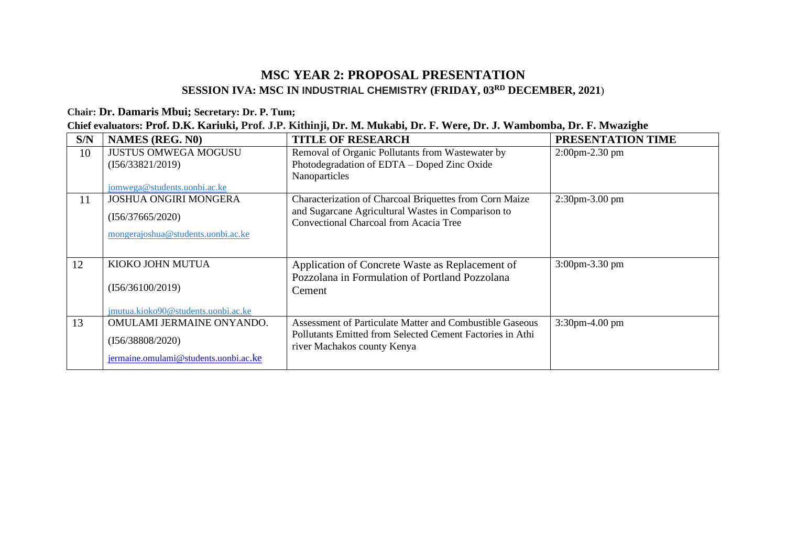## **MSC YEAR 2: PROPOSAL PRESENTATION SESSION IVA: MSC IN INDUSTRIAL CHEMISTRY (FRIDAY, 03RD DECEMBER, 2021**)

## **Chair: Dr. Damaris Mbui; Secretary: Dr. P. Tum;**

| Chief evaluators: Prof. D.K. Kariuki, Prof. J.P. Kithinji, Dr. M. Mukabi, Dr. F. Were, Dr. J. Wambomba, Dr. F. Mwazighe |  |  |  |  |  |
|-------------------------------------------------------------------------------------------------------------------------|--|--|--|--|--|
|                                                                                                                         |  |  |  |  |  |

| S/N | <b>NAMES (REG. N0)</b>                | <b>TITLE OF RESEARCH</b>                                                                            | PRESENTATION TIME    |
|-----|---------------------------------------|-----------------------------------------------------------------------------------------------------|----------------------|
| 10  | <b>JUSTUS OMWEGA MOGUSU</b>           | Removal of Organic Pollutants from Wastewater by                                                    | $2:00$ pm $-2.30$ pm |
|     | (I56/33821/2019)                      | Photodegradation of EDTA - Doped Zinc Oxide                                                         |                      |
|     |                                       | Nanoparticles                                                                                       |                      |
|     | jomwega@students.uonbi.ac.ke          |                                                                                                     |                      |
| 11  | <b>JOSHUA ONGIRI MONGERA</b>          | Characterization of Charcoal Briquettes from Corn Maize                                             | 2:30pm-3.00 pm       |
|     | (I56/37665/2020)                      | and Sugarcane Agricultural Wastes in Comparison to<br><b>Convectional Charcoal from Acacia Tree</b> |                      |
|     | mongerajoshua@students.uonbi.ac.ke    |                                                                                                     |                      |
|     |                                       |                                                                                                     |                      |
|     |                                       |                                                                                                     |                      |
| 12  | KIOKO JOHN MUTUA                      | Application of Concrete Waste as Replacement of                                                     | 3:00pm-3.30 pm       |
|     |                                       | Pozzolana in Formulation of Portland Pozzolana                                                      |                      |
|     | (I56/36100/2019)                      | Cement                                                                                              |                      |
|     | jmutua.kioko90@students.uonbi.ac.ke   |                                                                                                     |                      |
| 13  | OMULAMI JERMAINE ONYANDO.             | Assessment of Particulate Matter and Combustible Gaseous                                            | 3:30pm-4.00 pm       |
|     |                                       | Pollutants Emitted from Selected Cement Factories in Athi                                           |                      |
|     | (I56/38808/2020)                      | river Machakos county Kenya                                                                         |                      |
|     | jermaine.omulami@students.uonbi.ac.ke |                                                                                                     |                      |
|     |                                       |                                                                                                     |                      |